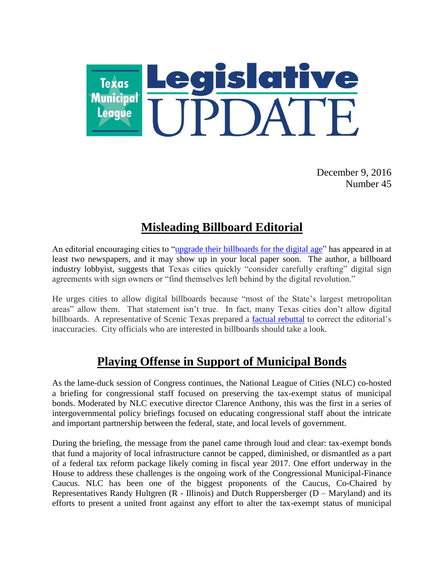

December 9, 2016 Number 45

# **Misleading Billboard Editorial**

An editorial encouraging cities to ["upgrade their billboards for the digital age"](http://www.newsdispatchnewspaper.com/content/texas-cities-should-upgrade-billboard-laws-digital-age) has appeared in at least two newspapers, and it may show up in your local paper soon. The author, a billboard industry lobbyist, suggests that Texas cities quickly "consider carefully crafting" digital sign agreements with sign owners or "find themselves left behind by the digital revolution."

He urges cities to allow digital billboards because "most of the State's largest metropolitan areas" allow them. That statement isn't true. In fact, many Texas cities don't allow digital billboards. A representative of Scenic Texas prepared a [factual rebuttal](https://www.tribtalk.org/2016/11/22/digital-billboards-arent-inevitable-and-shouldnt-be/) to correct the editorial's inaccuracies. City officials who are interested in billboards should take a look.

## **Playing Offense in Support of Municipal Bonds**

As the lame-duck session of Congress continues, the National League of Cities (NLC) co-hosted a briefing for congressional staff focused on preserving the tax-exempt status of municipal bonds. Moderated by NLC executive director Clarence Anthony, this was the first in a series of intergovernmental policy briefings focused on educating congressional staff about the intricate and important partnership between the federal, state, and local levels of government.

During the briefing, the message from the panel came through loud and clear: tax-exempt bonds that fund a majority of local infrastructure cannot be capped, diminished, or dismantled as a part of a federal tax reform package likely coming in fiscal year 2017. One effort underway in the House to address these challenges is the ongoing work of the Congressional Municipal-Finance Caucus. NLC has been one of the biggest proponents of the Caucus, Co-Chaired by Representatives Randy Hultgren  $(R - Illinois)$  and Dutch Ruppersberger  $(D - Maryland)$  and its efforts to present a united front against any effort to alter the tax-exempt status of municipal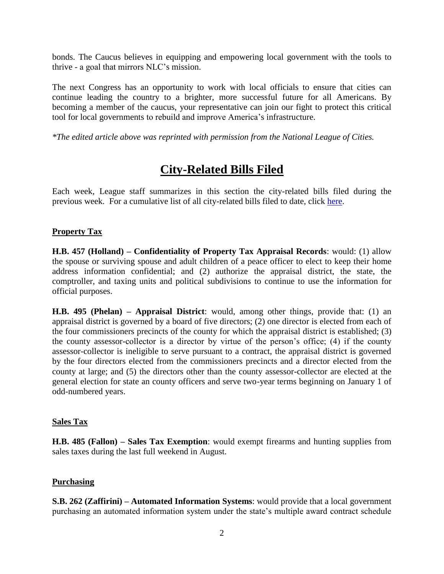bonds. The Caucus believes in equipping and empowering local government with the tools to thrive - a goal that mirrors NLC's mission.

The next Congress has an opportunity to work with local officials to ensure that cities can continue leading the country to a brighter, more successful future for all Americans. By becoming a member of the caucus, your representative can join our fight to protect this critical tool for local governments to rebuild and improve America's infrastructure.

*\*The edited article above was reprinted with permission from the National League of Cities.*

## **City-Related Bills Filed**

Each week, League staff summarizes in this section the city-related bills filed during the previous week. For a cumulative list of all city-related bills filed to date, click [here.](http://www.tml.org/p/CityRelatedBills12_09_2016.pdf)

## **Property Tax**

**H.B. 457 (Holland) – Confidentiality of Property Tax Appraisal Records**: would: (1) allow the spouse or surviving spouse and adult children of a peace officer to elect to keep their home address information confidential; and (2) authorize the appraisal district, the state, the comptroller, and taxing units and political subdivisions to continue to use the information for official purposes.

**H.B. 495 (Phelan) – Appraisal District**: would, among other things, provide that: (1) an appraisal district is governed by a board of five directors; (2) one director is elected from each of the four commissioners precincts of the county for which the appraisal district is established; (3) the county assessor-collector is a director by virtue of the person's office; (4) if the county assessor-collector is ineligible to serve pursuant to a contract, the appraisal district is governed by the four directors elected from the commissioners precincts and a director elected from the county at large; and (5) the directors other than the county assessor-collector are elected at the general election for state an county officers and serve two-year terms beginning on January 1 of odd-numbered years.

#### **Sales Tax**

**H.B. 485 (Fallon) – Sales Tax Exemption**: would exempt firearms and hunting supplies from sales taxes during the last full weekend in August.

#### **Purchasing**

**S.B. 262 (Zaffirini) – Automated Information Systems**: would provide that a local government purchasing an automated information system under the state's multiple award contract schedule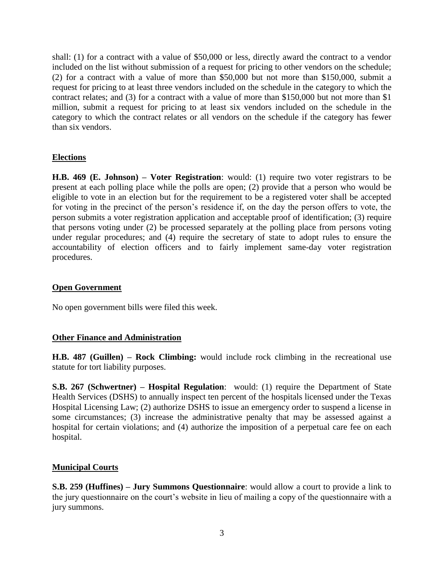shall: (1) for a contract with a value of \$50,000 or less, directly award the contract to a vendor included on the list without submission of a request for pricing to other vendors on the schedule; (2) for a contract with a value of more than \$50,000 but not more than \$150,000, submit a request for pricing to at least three vendors included on the schedule in the category to which the contract relates; and (3) for a contract with a value of more than \$150,000 but not more than \$1 million, submit a request for pricing to at least six vendors included on the schedule in the category to which the contract relates or all vendors on the schedule if the category has fewer than six vendors.

## **Elections**

**H.B. 469 (E. Johnson) – Voter Registration**: would: (1) require two voter registrars to be present at each polling place while the polls are open; (2) provide that a person who would be eligible to vote in an election but for the requirement to be a registered voter shall be accepted for voting in the precinct of the person's residence if, on the day the person offers to vote, the person submits a voter registration application and acceptable proof of identification; (3) require that persons voting under (2) be processed separately at the polling place from persons voting under regular procedures; and (4) require the secretary of state to adopt rules to ensure the accountability of election officers and to fairly implement same-day voter registration procedures.

#### **Open Government**

No open government bills were filed this week.

#### **Other Finance and Administration**

**H.B. 487 (Guillen) – Rock Climbing:** would include rock climbing in the recreational use statute for tort liability purposes.

**S.B. 267 (Schwertner) – Hospital Regulation**: would: (1) require the Department of State Health Services (DSHS) to annually inspect ten percent of the hospitals licensed under the Texas Hospital Licensing Law; (2) authorize DSHS to issue an emergency order to suspend a license in some circumstances; (3) increase the administrative penalty that may be assessed against a hospital for certain violations; and (4) authorize the imposition of a perpetual care fee on each hospital.

#### **Municipal Courts**

**S.B. 259 (Huffines) – Jury Summons Questionnaire**: would allow a court to provide a link to the jury questionnaire on the court's website in lieu of mailing a copy of the questionnaire with a jury summons.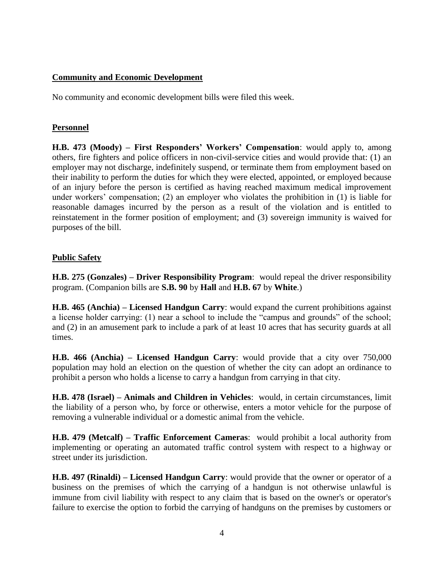## **Community and Economic Development**

No community and economic development bills were filed this week.

## **Personnel**

**H.B. 473 (Moody) – First Responders' Workers' Compensation**: would apply to, among others, fire fighters and police officers in non-civil-service cities and would provide that: (1) an employer may not discharge, indefinitely suspend, or terminate them from employment based on their inability to perform the duties for which they were elected, appointed, or employed because of an injury before the person is certified as having reached maximum medical improvement under workers' compensation; (2) an employer who violates the prohibition in (1) is liable for reasonable damages incurred by the person as a result of the violation and is entitled to reinstatement in the former position of employment; and (3) sovereign immunity is waived for purposes of the bill.

## **Public Safety**

**H.B. 275 (Gonzales) – Driver Responsibility Program**: would repeal the driver responsibility program. (Companion bills are **S.B. 90** by **Hall** and **H.B. 67** by **White**.)

**H.B. 465 (Anchia) – Licensed Handgun Carry**: would expand the current prohibitions against a license holder carrying: (1) near a school to include the "campus and grounds" of the school; and (2) in an amusement park to include a park of at least 10 acres that has security guards at all times.

**H.B. 466 (Anchia) – Licensed Handgun Carry**: would provide that a city over 750,000 population may hold an election on the question of whether the city can adopt an ordinance to prohibit a person who holds a license to carry a handgun from carrying in that city.

**H.B. 478 (Israel) – Animals and Children in Vehicles**: would, in certain circumstances, limit the liability of a person who, by force or otherwise, enters a motor vehicle for the purpose of removing a vulnerable individual or a domestic animal from the vehicle.

**H.B. 479 (Metcalf) – Traffic Enforcement Cameras**: would prohibit a local authority from implementing or operating an automated traffic control system with respect to a highway or street under its jurisdiction.

**H.B. 497 (Rinaldi) – Licensed Handgun Carry**: would provide that the owner or operator of a business on the premises of which the carrying of a handgun is not otherwise unlawful is immune from civil liability with respect to any claim that is based on the owner's or operator's failure to exercise the option to forbid the carrying of handguns on the premises by customers or